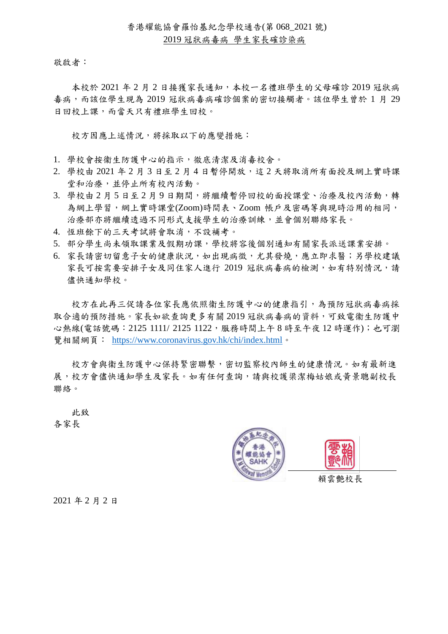敬啟者:

本校於 2021 年 2 月 2 日接獲家長通知,本校一名禮班學生的父母確診 2019 冠狀病 毒病,而該位學生現為 2019 冠狀病毒病確診個案的密切接觸者。該位學生曾於 1 月 29 日回校上課,而當天只有禮班學生回校。

校方因應上述情況,將採取以下的應變措施:

- 1. 學校會按衞生防護中心的指示,徹底清潔及消毒校舍。
- 2. 學校由 2021年2月3日至2月4日暫停開放,這2天將取消所有面授及網上實時課 堂和治療,並停止所有校內活動。
- 3. 學校由2月5日至2月9日期間,將繼續暫停回校的面授課堂、治療及校內活動,轉 為網上學習,網上實時課堂(Zoom)時間表、Zoom 帳戶及密碼等與現時沿用的相同, 治療部亦將繼續透過不同形式支援學生的治療訓練,並會個別聯絡家長。
- 4. 恆班餘下的三天考試將會取消,不設補考。
- 5. 部分學生尚未領取課業及假期功課,學校將容後個別通知有關家長派送課業安排。
- 6. 家長請密切留意子女的健康狀況,如出現病徵,尤其發燒,應立即求醫;另學校建議 家長可按需要安排子女及同住家人進行 2019 冠狀病毒病的檢測,如有特別情況,請 儘快通知學校。

校方在此再三促請各位家長應依照衞生防護中心的健康指引,為預防冠狀病毒病採 取合適的預防措施。家長如欲查詢更多有關 2019 冠狀病毒病的資料,可致電衞生防護中 心熱線(電話號碼:2125 1111/ 2125 1122,服務時間上午 8 時至午夜 12 時運作);也可瀏 覽相關網頁: <https://www.coronavirus.gov.hk/chi/index.html>。

校方會與衞生防護中心保持緊密聯繫,密切監察校內師生的健康情況。如有最新進 展,校方會儘快通知學生及家長。如有任何查詢,請與校護梁潔梅姑娘或黃景聰副校長 聯絡。

 此致 各家長





賴雲艷校長

2021 年 2 月 2 日